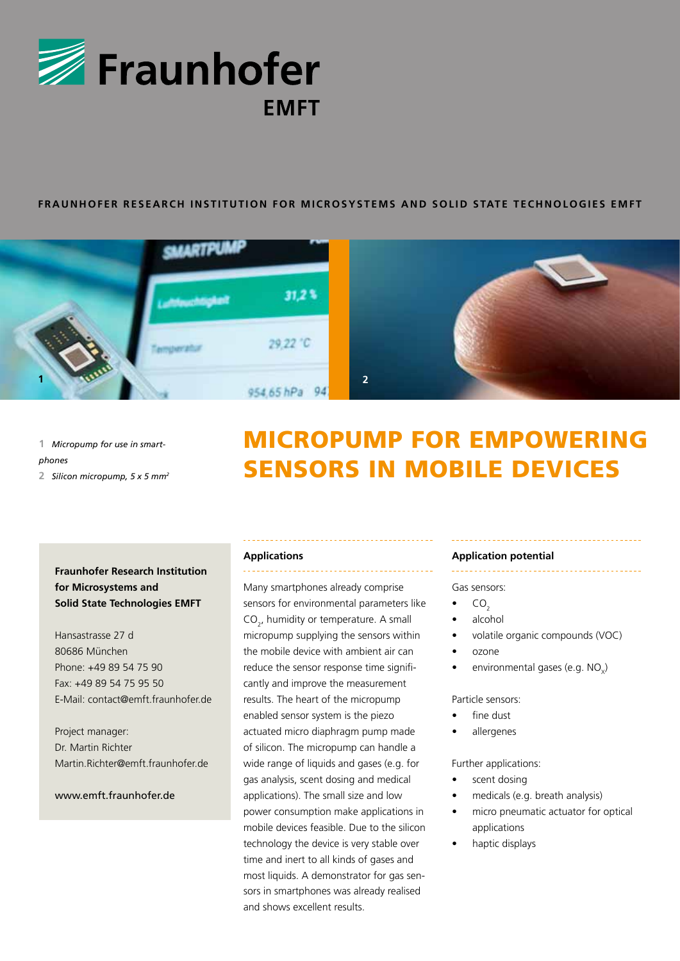

## **FRAUNHOFER RESEARCH INSTITUTION FOR MICROSYSTEMS AND SOLID STATE TECHNOLOGIES EMFT**



**1** *Micropump for use in smartphones* **2** *Silicon micropump, 5 x 5 mm2* 

# micropump for empowering sensors in mobile devices

## **Fraunhofer Research Institution for Microsystems and Solid State Technologies EMFT**

Hansastrasse 27 d 80686 München Phone: +49 89 54 75 90 Fax: +49 89 54 75 95 50 E-Mail: contact@emft.fraunhofer.de

Project manager: Dr. Martin Richter Martin.Richter@emft.fraunhofer.de

### www.emft.fraunhofer.de

#### **Applications**

Many smartphones already comprise sensors for environmental parameters like  $CO<sub>2</sub>$ , humidity or temperature. A small micropump supplying the sensors within the mobile device with ambient air can reduce the sensor response time significantly and improve the measurement results. The heart of the micropump enabled sensor system is the piezo actuated micro diaphragm pump made of silicon. The micropump can handle a wide range of liquids and gases (e.g. for gas analysis, scent dosing and medical applications). The small size and low power consumption make applications in mobile devices feasible. Due to the silicon technology the device is very stable over time and inert to all kinds of gases and most liquids. A demonstrator for gas sensors in smartphones was already realised and shows excellent results.

#### **Application potential**

Gas sensors:

- $CO<sub>2</sub>$
- alcohol
- volatile organic compounds (VOC)
- ozone
- environmental gases (e.g.  $NO<sub>x</sub>$ )

Particle sensors:

- fine dust
- allergenes

Further applications:

- scent dosing
- medicals (e.g. breath analysis)
- micro pneumatic actuator for optical applications
- haptic displays